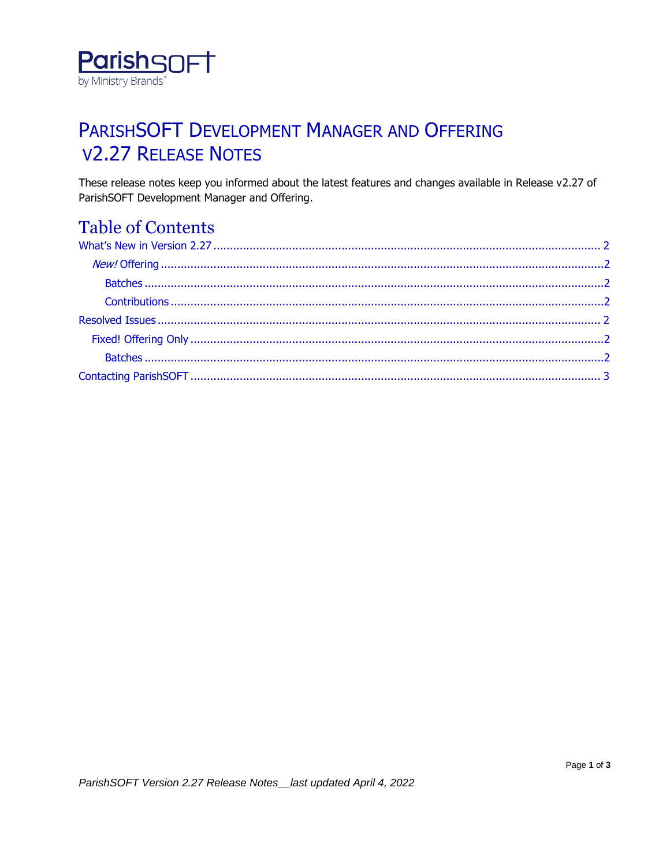

# PARISHSOFT DEVELOPMENT MANAGER AND OFFERING **V2.27 RELEASE NOTES**

These release notes keep you informed about the latest features and changes available in Release v2.27 of ParishSOFT Development Manager and Offering.

## **Table of Contents**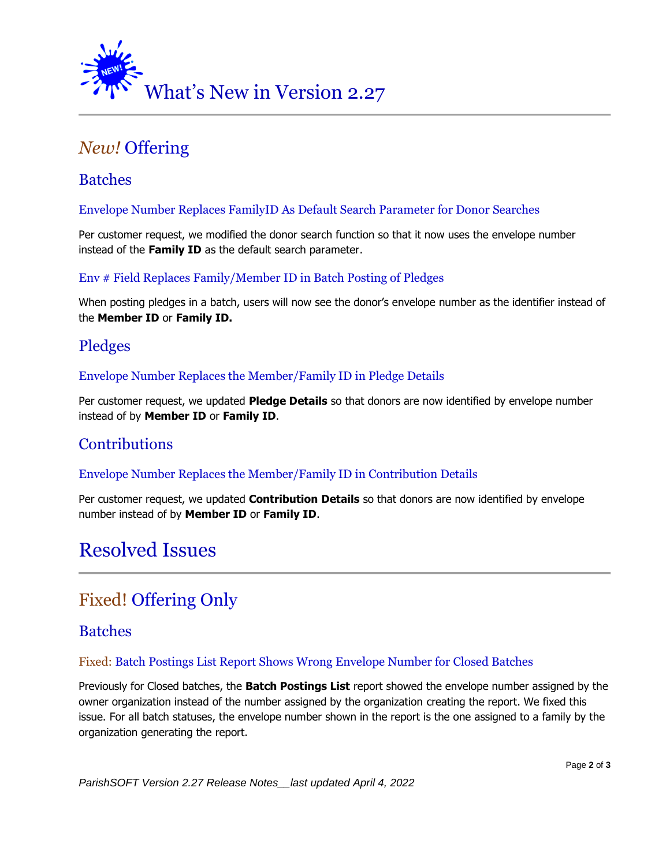<span id="page-1-0"></span>

## <span id="page-1-1"></span>*New!* Offering

## <span id="page-1-2"></span>**Batches**

### Envelope Number Replaces FamilyID As Default Search Parameter for Donor Searches

Per customer request, we modified the donor search function so that it now uses the envelope number instead of the **Family ID** as the default search parameter.

### Env # Field Replaces Family/Member ID in Batch Posting of Pledges

When posting pledges in a batch, users will now see the donor's envelope number as the identifier instead of the **Member ID** or **Family ID.**

### Pledges

### Envelope Number Replaces the Member/Family ID in Pledge Details

Per customer request, we updated **Pledge Details** so that donors are now identified by envelope number instead of by **Member ID** or **Family ID**.

### <span id="page-1-3"></span>**Contributions**

### Envelope Number Replaces the Member/Family ID in Contribution Details

Per customer request, we updated **Contribution Details** so that donors are now identified by envelope number instead of by **Member ID** or **Family ID**.

## <span id="page-1-4"></span>Resolved Issues

## <span id="page-1-5"></span>Fixed! Offering Only

### <span id="page-1-6"></span>Batches

### Fixed: Batch Postings List Report Shows Wrong Envelope Number for Closed Batches

Previously for Closed batches, the **Batch Postings List** report showed the envelope number assigned by the owner organization instead of the number assigned by the organization creating the report. We fixed this issue. For all batch statuses, the envelope number shown in the report is the one assigned to a family by the organization generating the report.